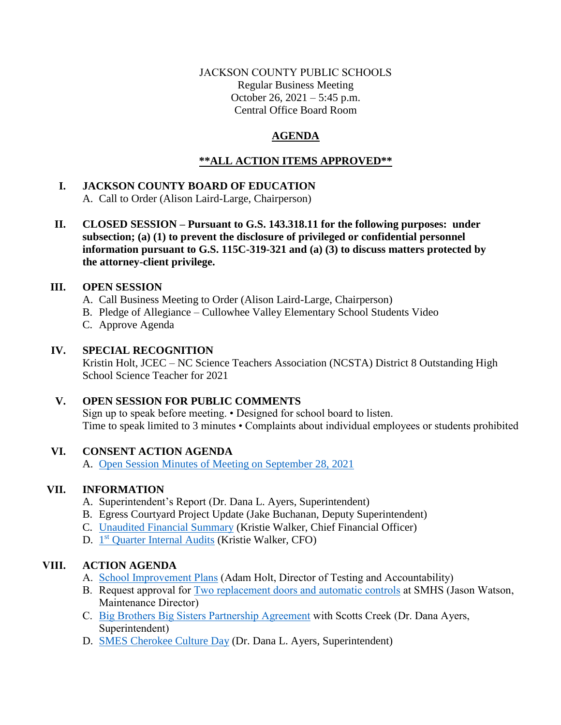## JACKSON COUNTY PUBLIC SCHOOLS Regular Business Meeting October 26, 2021 – 5:45 p.m. Central Office Board Room

# **AGENDA**

# **\*\*ALL ACTION ITEMS APPROVED\*\***

## **I. JACKSON COUNTY BOARD OF EDUCATION**  A. Call to Order (Alison Laird-Large, Chairperson)

**II. CLOSED SESSION – Pursuant to G.S. 143.318.11 for the following purposes: under subsection; (a) (1) to prevent the disclosure of privileged or confidential personnel information pursuant to G.S. 115C-319-321 and (a) (3) to discuss matters protected by the attorney-client privilege.**

## **III. OPEN SESSION**

- A. Call Business Meeting to Order (Alison Laird-Large, Chairperson)
- B. Pledge of Allegiance Cullowhee Valley Elementary School Students Video
- C. Approve Agenda

## **IV. SPECIAL RECOGNITION**

Kristin Holt, JCEC – NC Science Teachers Association (NCSTA) District 8 Outstanding High School Science Teacher for 2021

## **V. OPEN SESSION FOR PUBLIC COMMENTS**

Sign up to speak before meeting. • Designed for school board to listen. Time to speak limited to 3 minutes • Complaints about individual employees or students prohibited

## **VI. CONSENT ACTION AGENDA**

A. [Open Session Minutes of Meeting on September 28, 2021](https://jcpsmail-my.sharepoint.com/:b:/g/personal/cfields_jcpsmail_org/EbeIptqFbNNCiu0HlPtaZXEBkuJ4lYpdT4yAqUBE935Jiw?e=kGd5DV)

## **VII. INFORMATION**

- A. Superintendent's Report (Dr. Dana L. Ayers, Superintendent)
- B. Egress Courtyard Project Update (Jake Buchanan, Deputy Superintendent)
- C. [Unaudited Financial Summary](https://jcpsmail-my.sharepoint.com/:b:/g/personal/cfields_jcpsmail_org/EUVbR3dpkWJEsZ5krfDC4gEBQK26KdWJc4IFlfT_EpLRmw?e=N0QW6K) (Kristie Walker, Chief Financial Officer)
- D. 1<sup>st</sup> [Quarter Internal Audits](https://jcpsmail-my.sharepoint.com/:b:/g/personal/cfields_jcpsmail_org/EVBNJvDFGRlKnIXYowo48MgBOd3vqbtGkfvzWVJkL-yp_g?e=JPNgcb) (Kristie Walker, CFO)

# **VIII. ACTION AGENDA**

- A. [School Improvement Plans](https://jcpsmail-my.sharepoint.com/:b:/g/personal/cfields_jcpsmail_org/EcCUFxTE5w1BmhP0oe_zS3YBIZs_zDhVlPRvM7ZFJTCbRg?e=bufSlr) (Adam Holt, Director of Testing and Accountability)
- B. Request approval for [Two replacement doors and automatic controls](https://jcpsmail-my.sharepoint.com/:b:/g/personal/cfields_jcpsmail_org/ERnGTI7iiW9OhDjb4IlzJmwBNdK-d1PU4NFTzBN2W_fRKg?e=vjqYly) at SMHS (Jason Watson, Maintenance Director)
- C. [Big Brothers Big Sisters Partnership Agreement](https://jcpsmail-my.sharepoint.com/:b:/g/personal/cfields_jcpsmail_org/Ef-_MH0l29JCtTgDyodNQtIB_YFUT744r8-JuVS0tM3tGQ?e=X7ZHeQ) with Scotts Creek (Dr. Dana Ayers, Superintendent)
- D. [SMES Cherokee Culture Day](https://jcpsmail-my.sharepoint.com/:b:/g/personal/cfields_jcpsmail_org/ERvqSotvu6NKkDYeeBkqmgABzEjhkdUddscUstlUh5-AVw?e=9ZGBTK) (Dr. Dana L. Ayers, Superintendent)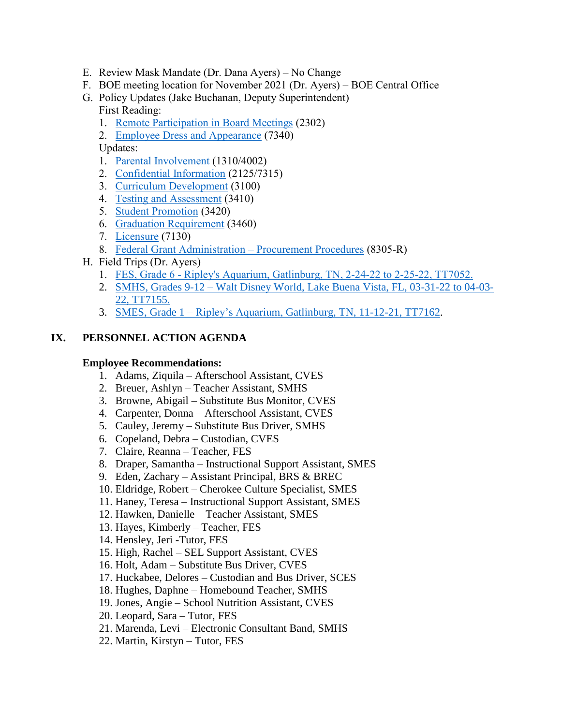- E. Review Mask Mandate (Dr. Dana Ayers) No Change
- F. BOE meeting location for November 2021 (Dr. Ayers) BOE Central Office
- G. Policy Updates (Jake Buchanan, Deputy Superintendent) First Reading:
	- 1. [Remote Participation in Board Meetings](https://jcpsmail-my.sharepoint.com/:b:/g/personal/cfields_jcpsmail_org/EfRxXsq9aC5PrwUi8N0zZ28BxK4LmL-HIZomg0Kp-OI5eQ?e=dqr3Yn) (2302)
	- 2. [Employee Dress and Appearance](https://jcpsmail-my.sharepoint.com/:b:/g/personal/cfields_jcpsmail_org/ERjrXrRrYX5BjIhCLxZqwZEBf6tlsW_ZjY27ARHhy4eXwg?e=vS9oPK) (7340)

Updates:

- 1. [Parental Involvement](https://jcpsmail-my.sharepoint.com/:b:/g/personal/cfields_jcpsmail_org/EX63nd52qsVMrAFF_NKM7yABs5bYrGF71dv3jiVxWFD9Hg?e=2icS65) (1310/4002)
- 2. [Confidential Information](https://jcpsmail-my.sharepoint.com/:b:/g/personal/cfields_jcpsmail_org/EU2p9r7dEnxEsOFKcok165IBC9BW8-MhA88nwn54U_2-xw?e=qnXCR8) (2125/7315)
- 3. [Curriculum Development](https://jcpsmail-my.sharepoint.com/:b:/g/personal/cfields_jcpsmail_org/EafYSGpKuGFIphE1TitkYGcBLXdbWcx91McVGKr_g1pI-w?e=P0kfpe) (3100)
- 4. [Testing and Assessment](https://jcpsmail-my.sharepoint.com/:b:/g/personal/cfields_jcpsmail_org/ER6grMSh6_xAhwWPKlwhmg0BDwNEaPdPTKhmMsu_kFGPEw?e=z0nIav) (3410)
- 5. [Student Promotion](https://jcpsmail-my.sharepoint.com/:b:/g/personal/cfields_jcpsmail_org/EV_9MZfRqRZLsAkxcbMAL-MB9prXSofXwxL4mqAnOXqmCQ?e=asIMPN) (3420)
- 6. [Graduation Requirement](https://jcpsmail-my.sharepoint.com/:b:/g/personal/cfields_jcpsmail_org/EaeZLjZr9RxFo9_YqpHN2CABEPLM98BPbfOd0WZUrUXyMQ?e=FaKsHa) (3460)
- 7. [Licensure](https://jcpsmail-my.sharepoint.com/:b:/g/personal/cfields_jcpsmail_org/Eff9qC1SrUtHh7__6Xt2VQ8Bo8ewnNQY8pkMolhLmooezQ?e=ynxrfv) (7130)
- 8. [Federal Grant Administration](https://jcpsmail-my.sharepoint.com/:b:/g/personal/cfields_jcpsmail_org/EU5IwNMBwH1Gq0rYK8S_JfMBqBnNpG3luFxuF0tZOoISyg?e=lIHnb0)  Procurement Procedures (8305-R)
- H. Field Trips (Dr. Ayers)
	- 1. FES, Grade 6 [Ripley's Aquarium, Gatlinburg, TN, 2-24-22 to 2-25-22, TT7052.](https://jcpsmail-my.sharepoint.com/:b:/g/personal/cfields_jcpsmail_org/EX1HgeNvc6RBo6dZ62UtD84BSslRGkRu0QWmOo57u8I4Nw?e=1ciJXk)
	- 2. SMHS, Grades 9-12 [Walt Disney World, Lake Buena Vista, FL, 03-31-22 to 04-03-](https://jcpsmail-my.sharepoint.com/:b:/g/personal/cfields_jcpsmail_org/EYm0BLMbUVNDm4haBHf0ka0B9DXU2Ehc0BOS_sXKs75E9w?e=gwEY7K) [22, TT7155.](https://jcpsmail-my.sharepoint.com/:b:/g/personal/cfields_jcpsmail_org/EYm0BLMbUVNDm4haBHf0ka0B9DXU2Ehc0BOS_sXKs75E9w?e=gwEY7K)
	- 3. SMES, Grade 1 [Ripley's Aquarium, Gatlinburg, TN, 11-12-21, TT7162.](https://jcpsmail-my.sharepoint.com/:b:/g/personal/cfields_jcpsmail_org/EW0yx1DuNLFMpp8OE0hdW9ABtlav4m5sXxrafRIY79vCfw?e=nWW1N4)

## **IX. PERSONNEL ACTION AGENDA**

#### **Employee Recommendations:**

- 1. Adams, Ziquila Afterschool Assistant, CVES
- 2. Breuer, Ashlyn Teacher Assistant, SMHS
- 3. Browne, Abigail Substitute Bus Monitor, CVES
- 4. Carpenter, Donna Afterschool Assistant, CVES
- 5. Cauley, Jeremy Substitute Bus Driver, SMHS
- 6. Copeland, Debra Custodian, CVES
- 7. Claire, Reanna Teacher, FES
- 8. Draper, Samantha Instructional Support Assistant, SMES
- 9. Eden, Zachary Assistant Principal, BRS & BREC
- 10. Eldridge, Robert Cherokee Culture Specialist, SMES
- 11. Haney, Teresa Instructional Support Assistant, SMES
- 12. Hawken, Danielle Teacher Assistant, SMES
- 13. Hayes, Kimberly Teacher, FES
- 14. Hensley, Jeri -Tutor, FES
- 15. High, Rachel SEL Support Assistant, CVES
- 16. Holt, Adam Substitute Bus Driver, CVES
- 17. Huckabee, Delores Custodian and Bus Driver, SCES
- 18. Hughes, Daphne Homebound Teacher, SMHS
- 19. Jones, Angie School Nutrition Assistant, CVES
- 20. Leopard, Sara Tutor, FES
- 21. Marenda, Levi Electronic Consultant Band, SMHS
- 22. Martin, Kirstyn Tutor, FES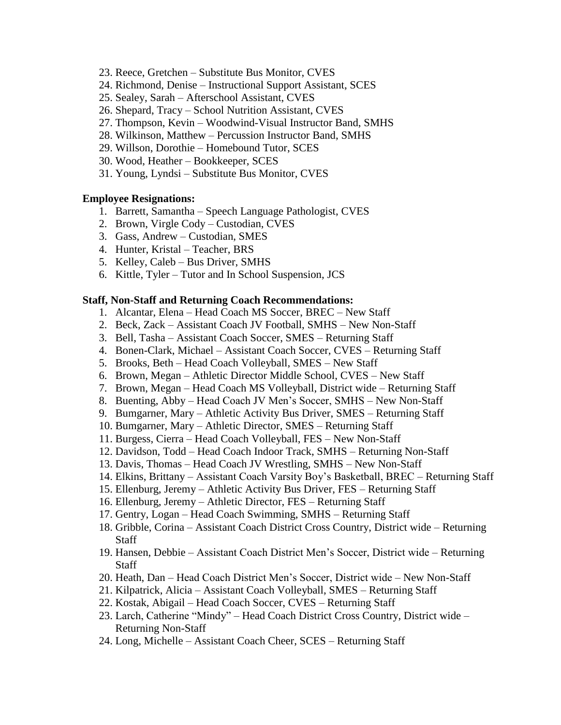- 23. Reece, Gretchen Substitute Bus Monitor, CVES
- 24. Richmond, Denise Instructional Support Assistant, SCES
- 25. Sealey, Sarah Afterschool Assistant, CVES
- 26. Shepard, Tracy School Nutrition Assistant, CVES
- 27. Thompson, Kevin Woodwind-Visual Instructor Band, SMHS
- 28. Wilkinson, Matthew Percussion Instructor Band, SMHS
- 29. Willson, Dorothie Homebound Tutor, SCES
- 30. Wood, Heather Bookkeeper, SCES
- 31. Young, Lyndsi Substitute Bus Monitor, CVES

#### **Employee Resignations:**

- 1. Barrett, Samantha Speech Language Pathologist, CVES
- 2. Brown, Virgle Cody Custodian, CVES
- 3. Gass, Andrew Custodian, SMES
- 4. Hunter, Kristal Teacher, BRS
- 5. Kelley, Caleb Bus Driver, SMHS
- 6. Kittle, Tyler Tutor and In School Suspension, JCS

#### **Staff, Non-Staff and Returning Coach Recommendations:**

- 1. Alcantar, Elena Head Coach MS Soccer, BREC New Staff
- 2. Beck, Zack Assistant Coach JV Football, SMHS New Non-Staff
- 3. Bell, Tasha Assistant Coach Soccer, SMES Returning Staff
- 4. Bonen-Clark, Michael Assistant Coach Soccer, CVES Returning Staff
- 5. Brooks, Beth Head Coach Volleyball, SMES New Staff
- 6. Brown, Megan Athletic Director Middle School, CVES New Staff
- 7. Brown, Megan Head Coach MS Volleyball, District wide Returning Staff
- 8. Buenting, Abby Head Coach JV Men's Soccer, SMHS New Non-Staff
- 9. Bumgarner, Mary Athletic Activity Bus Driver, SMES Returning Staff
- 10. Bumgarner, Mary Athletic Director, SMES Returning Staff
- 11. Burgess, Cierra Head Coach Volleyball, FES New Non-Staff
- 12. Davidson, Todd Head Coach Indoor Track, SMHS Returning Non-Staff
- 13. Davis, Thomas Head Coach JV Wrestling, SMHS New Non-Staff
- 14. Elkins, Brittany Assistant Coach Varsity Boy's Basketball, BREC Returning Staff
- 15. Ellenburg, Jeremy Athletic Activity Bus Driver, FES Returning Staff
- 16. Ellenburg, Jeremy Athletic Director, FES Returning Staff
- 17. Gentry, Logan Head Coach Swimming, SMHS Returning Staff
- 18. Gribble, Corina Assistant Coach District Cross Country, District wide Returning **Staff**
- 19. Hansen, Debbie Assistant Coach District Men's Soccer, District wide Returning **Staff**
- 20. Heath, Dan Head Coach District Men's Soccer, District wide New Non-Staff
- 21. Kilpatrick, Alicia Assistant Coach Volleyball, SMES Returning Staff
- 22. Kostak, Abigail Head Coach Soccer, CVES Returning Staff
- 23. Larch, Catherine "Mindy" Head Coach District Cross Country, District wide Returning Non-Staff
- 24. Long, Michelle Assistant Coach Cheer, SCES Returning Staff